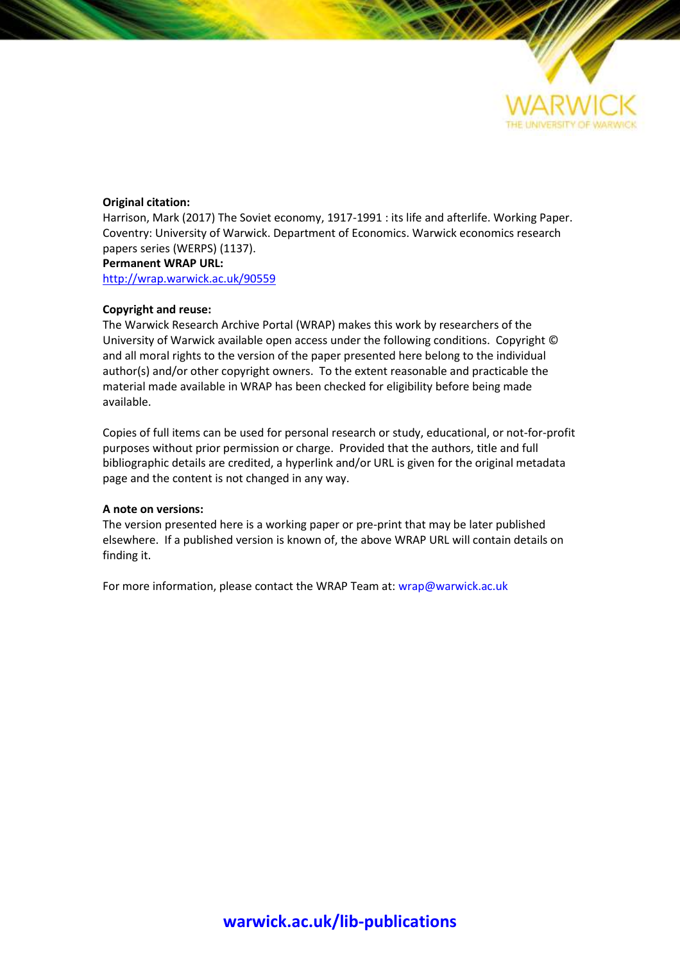

#### **Original citation:**

Harrison, Mark (2017) The Soviet economy, 1917-1991 : its life and afterlife. Working Paper. Coventry: University of Warwick. Department of Economics. Warwick economics research papers series (WERPS) (1137). **Permanent WRAP URL:**

<http://wrap.warwick.ac.uk/90559>

#### **Copyright and reuse:**

The Warwick Research Archive Portal (WRAP) makes this work by researchers of the University of Warwick available open access under the following conditions. Copyright © and all moral rights to the version of the paper presented here belong to the individual author(s) and/or other copyright owners. To the extent reasonable and practicable the material made available in WRAP has been checked for eligibility before being made available.

Copies of full items can be used for personal research or study, educational, or not-for-profit purposes without prior permission or charge. Provided that the authors, title and full bibliographic details are credited, a hyperlink and/or URL is given for the original metadata page and the content is not changed in any way.

#### **A note on versions:**

The version presented here is a working paper or pre-print that may be later published elsewhere. If a published version is known of, the above WRAP URL will contain details on finding it.

For more information, please contact the WRAP Team at[: wrap@warwick.ac.uk](mailto:wrap@warwick.ac.uk)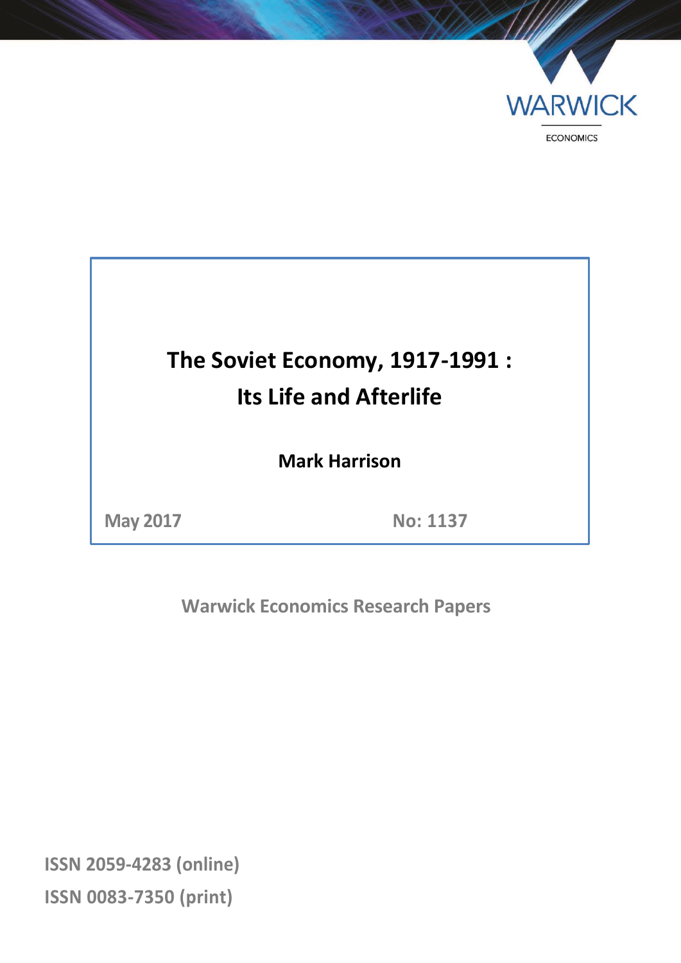

# **The Soviet Economy, 1917-1991 : Its Life and Afterlife**

**Mark Harrison**

**May 2017 No: 1137**

**Warwick Economics Research Papers**

**ISSN 2059-4283 (online) ISSN 0083-7350 (print)**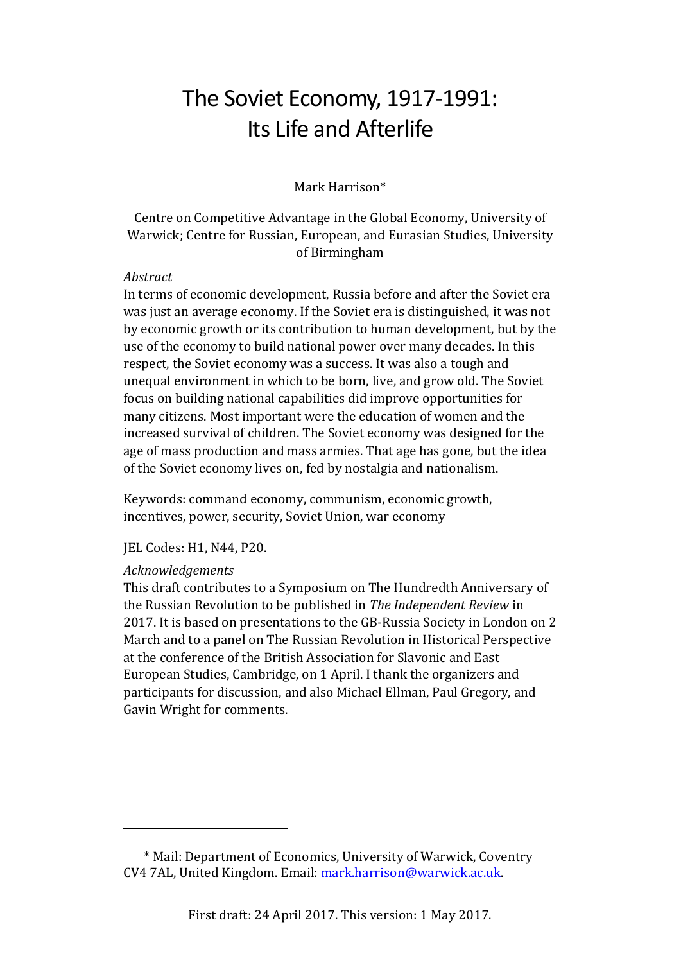## The Soviet Economy, 1917-1991: Its Life and Afterlife

Mark Harrison\*

#### Centre on Competitive Advantage in the Global Economy, University of Warwick; Centre for Russian, European, and Eurasian Studies, University of Birmingham

#### *Abstract*

In terms of economic development, Russia before and after the Soviet era was just an average economy. If the Soviet era is distinguished, it was not by economic growth or its contribution to human development, but by the use of the economy to build national power over many decades. In this respect, the Soviet economy was a success. It was also a tough and unequal environment in which to be born, live, and grow old. The Soviet focus on building national capabilities did improve opportunities for many citizens. Most important were the education of women and the increased survival of children. The Soviet economy was designed for the age of mass production and mass armies. That age has gone, but the idea of the Soviet economy lives on, fed by nostalgia and nationalism.

Keywords: command economy, communism, economic growth, incentives, power, security, Soviet Union, war economy

JEL Codes: H1, N44, P20.

#### *Acknowledgements*

This draft contributes to a Symposium on The Hundredth Anniversary of the Russian Revolution to be published in *The Independent Review* in 2017. It is based on presentations to the GB-Russia Society in London on 2 March and to a panel on The Russian Revolution in Historical Perspective at the conference of the British Association for Slavonic and East European Studies, Cambridge, on 1 April. I thank the organizers and participants for discussion, and also Michael Ellman, Paul Gregory, and Gavin Wright for comments.

<sup>\*</sup> Mail: Department of Economics, University of Warwick, Coventry CV4 7AL, United Kingdom. Email: mark.harrison@warwick.ac.uk.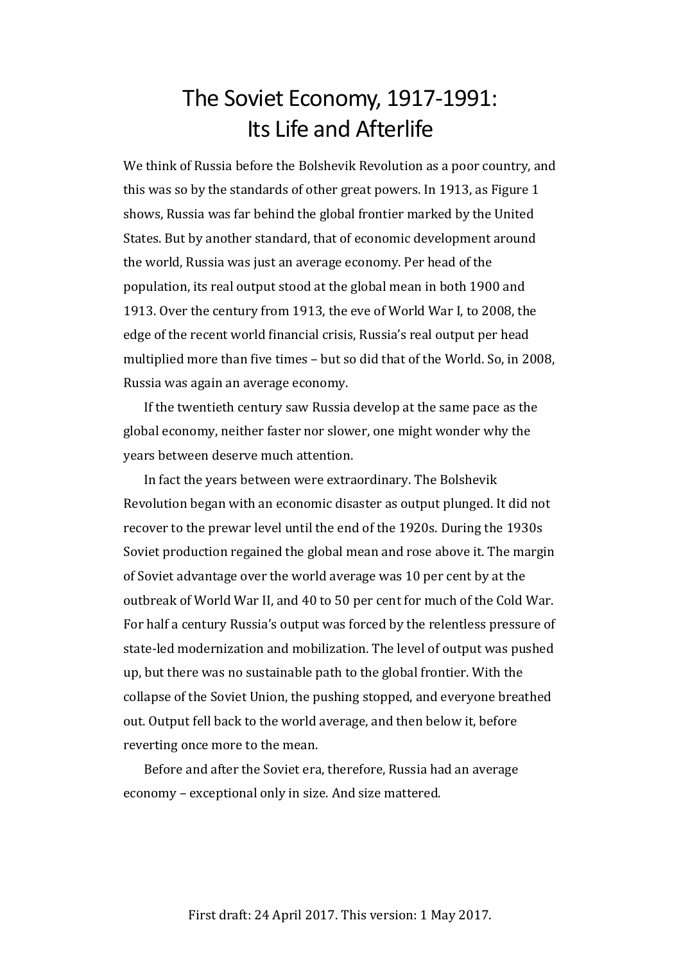## The Soviet Economy, 1917-1991: Its Life and Afterlife

We think of Russia before the Bolshevik Revolution as a poor country, and this was so by the standards of other great powers. In 1913, as Figure 1 shows, Russia was far behind the global frontier marked by the United States. But by another standard, that of economic development around the world, Russia was just an average economy. Per head of the population, its real output stood at the global mean in both 1900 and 1913. Over the century from 1913, the eve of World War I, to 2008, the edge of the recent world financial crisis, Russia's real output per head multiplied more than five times – but so did that of the World. So, in 2008, Russia was again an average economy.

If the twentieth century saw Russia develop at the same pace as the global economy, neither faster nor slower, one might wonder why the years between deserve much attention.

In fact the years between were extraordinary. The Bolshevik Revolution began with an economic disaster as output plunged. It did not recover to the prewar level until the end of the 1920s. During the 1930s Soviet production regained the global mean and rose above it. The margin of Soviet advantage over the world average was 10 per cent by at the outbreak of World War II, and 40 to 50 per cent for much of the Cold War. For half a century Russia's output was forced by the relentless pressure of state-led modernization and mobilization. The level of output was pushed up, but there was no sustainable path to the global frontier. With the collapse of the Soviet Union, the pushing stopped, and everyone breathed out. Output fell back to the world average, and then below it, before reverting once more to the mean.

Before and after the Soviet era, therefore, Russia had an average economy – exceptional only in size. And size mattered.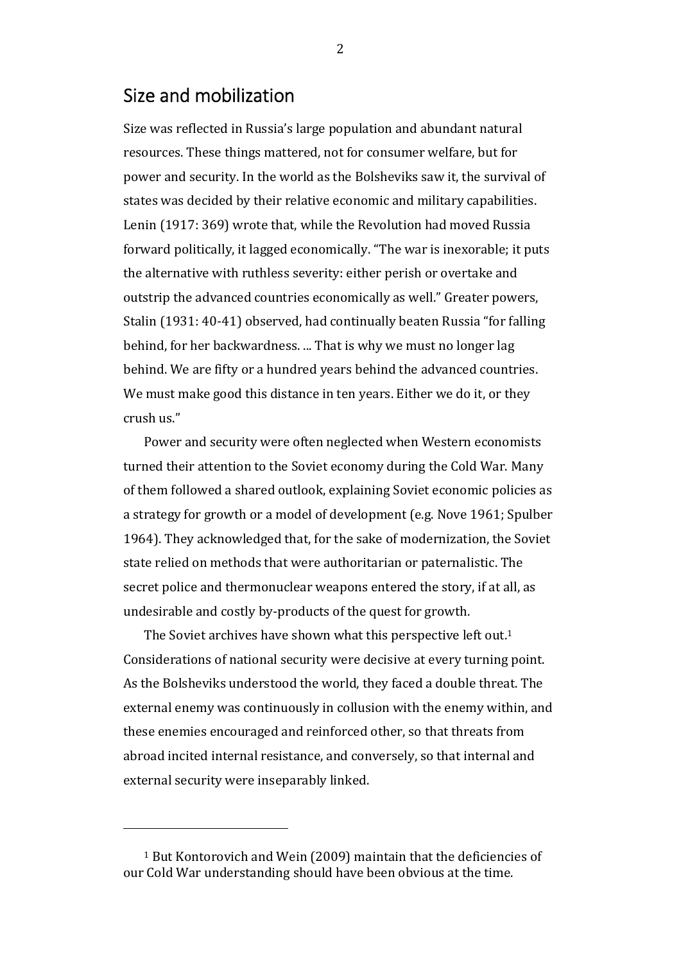### Size and mobilization

Size was reflected in Russia's large population and abundant natural resources. These things mattered, not for consumer welfare, but for power and security. In the world as the Bolsheviks saw it, the survival of states was decided by their relative economic and military capabilities. Lenin (1917: 369) wrote that, while the Revolution had moved Russia forward politically, it lagged economically. "The war is inexorable; it puts the alternative with ruthless severity: either perish or overtake and outstrip the advanced countries economically as well." Greater powers, Stalin (1931: 40-41) observed, had continually beaten Russia "for falling behind, for her backwardness. ... That is why we must no longer lag behind. We are fifty or a hundred years behind the advanced countries. We must make good this distance in ten years. Either we do it, or they crush us."

Power and security were often neglected when Western economists turned their attention to the Soviet economy during the Cold War. Many of them followed a shared outlook, explaining Soviet economic policies as a strategy for growth or a model of development (e.g. Nove 1961; Spulber 1964). They acknowledged that, for the sake of modernization, the Soviet state relied on methods that were authoritarian or paternalistic. The secret police and thermonuclear weapons entered the story, if at all, as undesirable and costly by-products of the quest for growth.

The Soviet archives have shown what this perspective left out.<sup>1</sup> Considerations of national security were decisive at every turning point. As the Bolsheviks understood the world, they faced a double threat. The external enemy was continuously in collusion with the enemy within, and these enemies encouraged and reinforced other, so that threats from abroad incited internal resistance, and conversely, so that internal and external security were inseparably linked.

<sup>1</sup> But Kontorovich and Wein (2009) maintain that the deficiencies of our Cold War understanding should have been obvious at the time.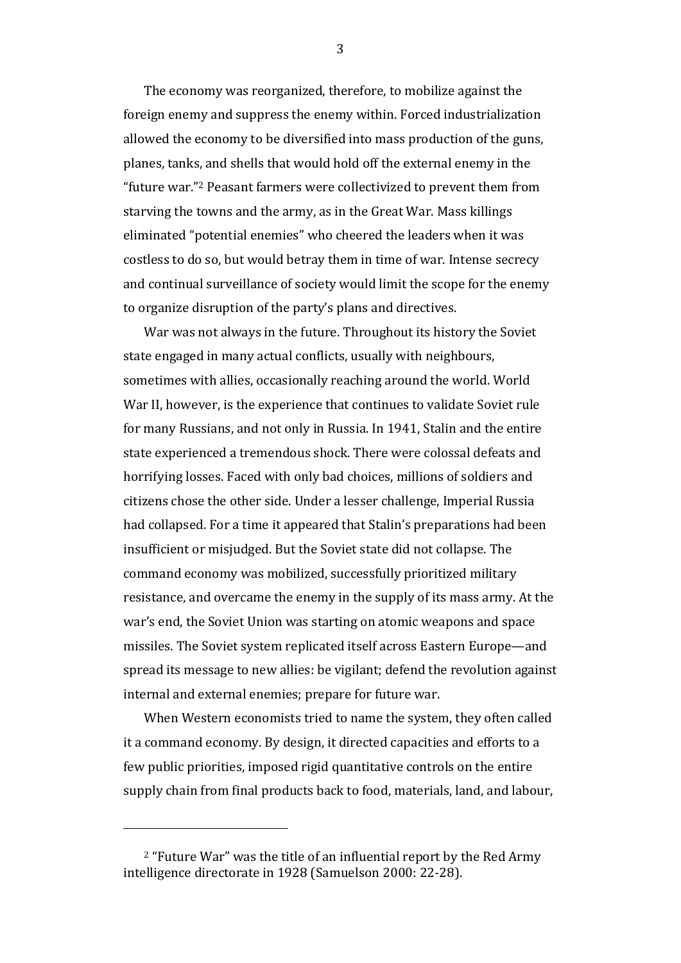The economy was reorganized, therefore, to mobilize against the foreign enemy and suppress the enemy within. Forced industrialization allowed the economy to be diversified into mass production of the guns, planes, tanks, and shells that would hold off the external enemy in the "future war."2 Peasant farmers were collectivized to prevent them from starving the towns and the army, as in the Great War. Mass killings eliminated "potential enemies" who cheered the leaders when it was costless to do so, but would betray them in time of war. Intense secrecy and continual surveillance of society would limit the scope for the enemy to organize disruption of the party's plans and directives.

War was not always in the future. Throughout its history the Soviet state engaged in many actual conflicts, usually with neighbours, sometimes with allies, occasionally reaching around the world. World War II, however, is the experience that continues to validate Soviet rule for many Russians, and not only in Russia. In 1941, Stalin and the entire state experienced a tremendous shock. There were colossal defeats and horrifying losses. Faced with only bad choices, millions of soldiers and citizens chose the other side. Under a lesser challenge, Imperial Russia had collapsed. For a time it appeared that Stalin's preparations had been insufficient or misjudged. But the Soviet state did not collapse. The command economy was mobilized, successfully prioritized military resistance, and overcame the enemy in the supply of its mass army. At the war's end, the Soviet Union was starting on atomic weapons and space missiles. The Soviet system replicated itself across Eastern Europe—and spread its message to new allies: be vigilant; defend the revolution against internal and external enemies; prepare for future war.

When Western economists tried to name the system, they often called it a command economy. By design, it directed capacities and efforts to a few public priorities, imposed rigid quantitative controls on the entire supply chain from final products back to food, materials, land, and labour,

 $2$  "Future War" was the title of an influential report by the Red Army intelligence directorate in 1928 (Samuelson 2000: 22-28).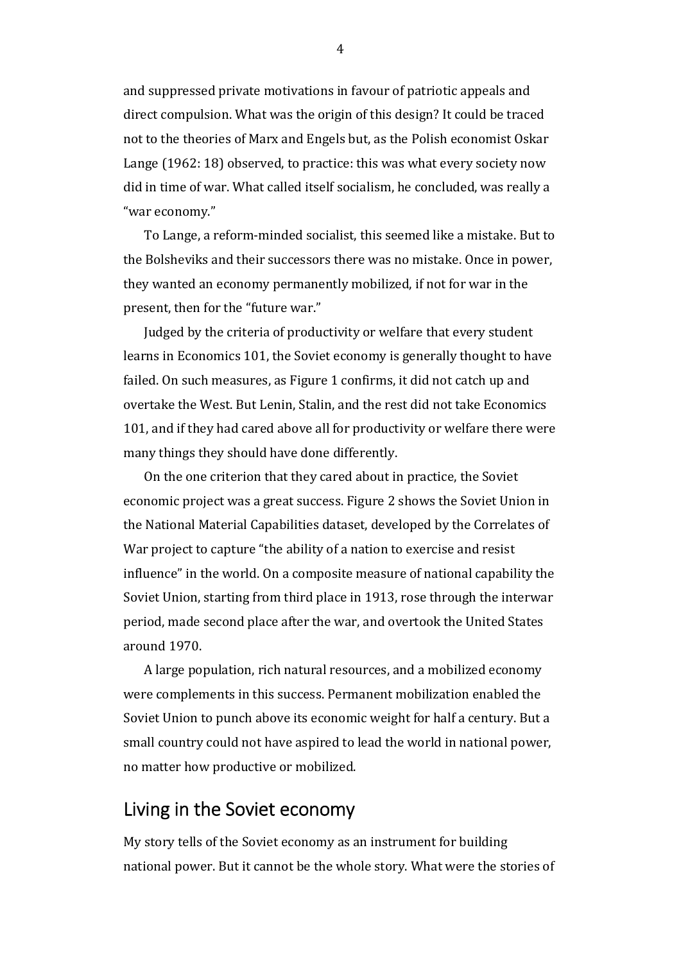and suppressed private motivations in favour of patriotic appeals and direct compulsion. What was the origin of this design? It could be traced not to the theories of Marx and Engels but, as the Polish economist Oskar Lange (1962: 18) observed, to practice: this was what every society now did in time of war. What called itself socialism, he concluded, was really a "war economy."

To Lange, a reform-minded socialist, this seemed like a mistake. But to the Bolsheviks and their successors there was no mistake. Once in power, they wanted an economy permanently mobilized, if not for war in the present, then for the "future war."

Judged by the criteria of productivity or welfare that every student learns in Economics 101, the Soviet economy is generally thought to have failed. On such measures, as Figure 1 confirms, it did not catch up and overtake the West. But Lenin, Stalin, and the rest did not take Economics 101, and if they had cared above all for productivity or welfare there were many things they should have done differently.

On the one criterion that they cared about in practice, the Soviet economic project was a great success. Figure 2 shows the Soviet Union in the National Material Capabilities dataset, developed by the Correlates of War project to capture "the ability of a nation to exercise and resist influence" in the world. On a composite measure of national capability the Soviet Union, starting from third place in 1913, rose through the interwar period, made second place after the war, and overtook the United States around 1970.

A large population, rich natural resources, and a mobilized economy were complements in this success. Permanent mobilization enabled the Soviet Union to punch above its economic weight for half a century. But a small country could not have aspired to lead the world in national power, no matter how productive or mobilized.

## Living in the Soviet economy

My story tells of the Soviet economy as an instrument for building national power. But it cannot be the whole story. What were the stories of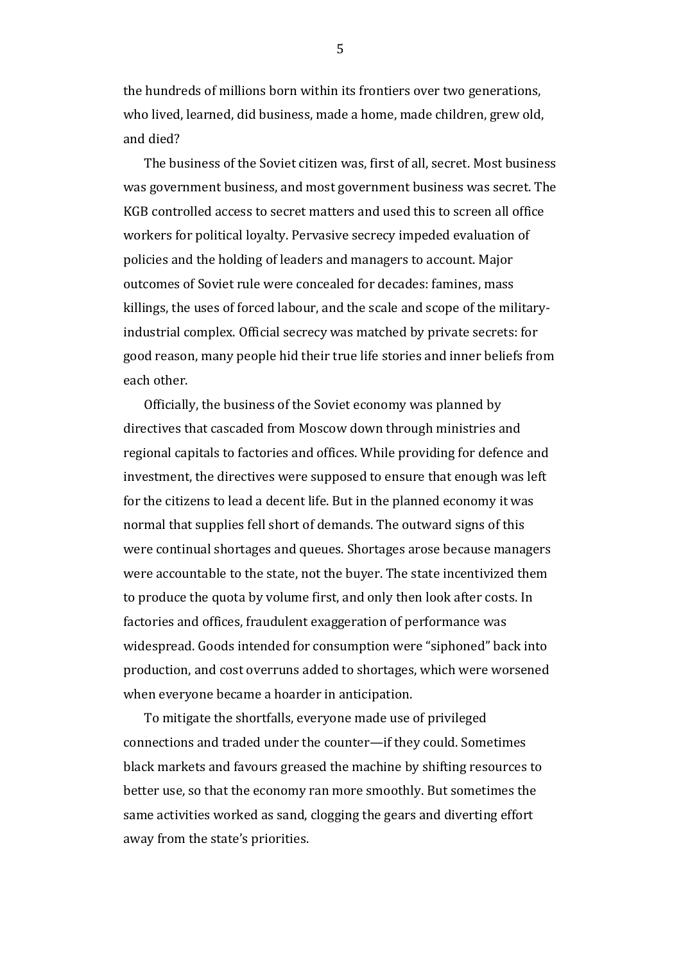the hundreds of millions born within its frontiers over two generations, who lived, learned, did business, made a home, made children, grew old, and died?

The business of the Soviet citizen was, first of all, secret. Most business was government business, and most government business was secret. The KGB controlled access to secret matters and used this to screen all office workers for political loyalty. Pervasive secrecy impeded evaluation of policies and the holding of leaders and managers to account. Major outcomes of Soviet rule were concealed for decades: famines, mass killings, the uses of forced labour, and the scale and scope of the militaryindustrial complex. Official secrecy was matched by private secrets: for good reason, many people hid their true life stories and inner beliefs from each other.

Officially, the business of the Soviet economy was planned by directives that cascaded from Moscow down through ministries and regional capitals to factories and offices. While providing for defence and investment, the directives were supposed to ensure that enough was left for the citizens to lead a decent life. But in the planned economy it was normal that supplies fell short of demands. The outward signs of this were continual shortages and queues. Shortages arose because managers were accountable to the state, not the buyer. The state incentivized them to produce the quota by volume first, and only then look after costs. In factories and offices, fraudulent exaggeration of performance was widespread. Goods intended for consumption were "siphoned" back into production, and cost overruns added to shortages, which were worsened when everyone became a hoarder in anticipation.

To mitigate the shortfalls, everyone made use of privileged connections and traded under the counter—if they could. Sometimes black markets and favours greased the machine by shifting resources to better use, so that the economy ran more smoothly. But sometimes the same activities worked as sand, clogging the gears and diverting effort away from the state's priorities.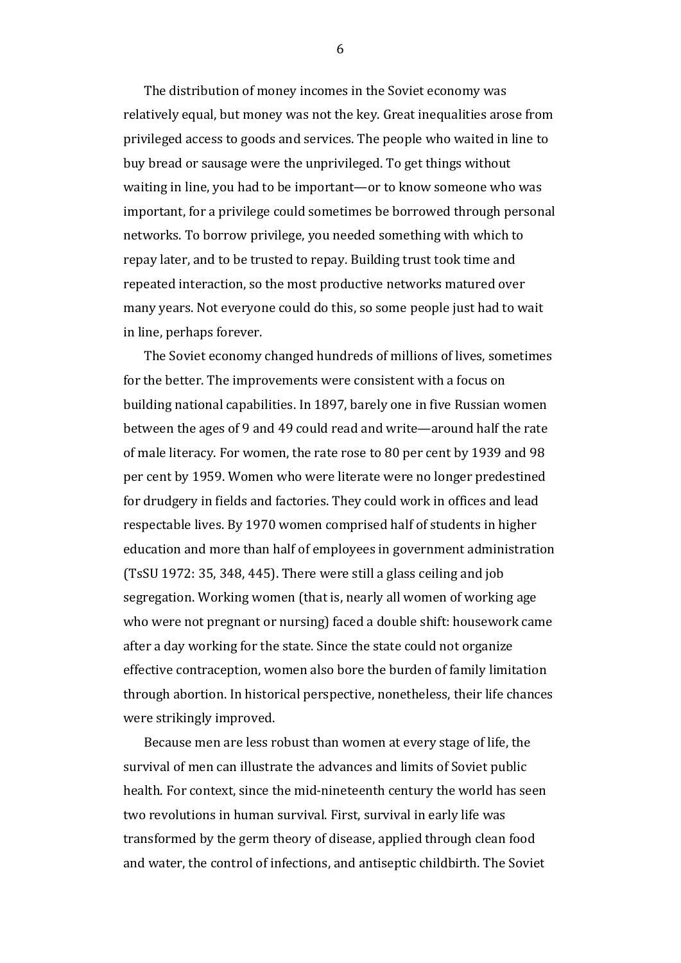The distribution of money incomes in the Soviet economy was relatively equal, but money was not the key. Great inequalities arose from privileged access to goods and services. The people who waited in line to buy bread or sausage were the unprivileged. To get things without waiting in line, you had to be important—or to know someone who was important, for a privilege could sometimes be borrowed through personal networks. To borrow privilege, you needed something with which to repay later, and to be trusted to repay. Building trust took time and repeated interaction, so the most productive networks matured over many years. Not everyone could do this, so some people just had to wait in line, perhaps forever.

The Soviet economy changed hundreds of millions of lives, sometimes for the better. The improvements were consistent with a focus on building national capabilities. In 1897, barely one in five Russian women between the ages of 9 and 49 could read and write—around half the rate of male literacy. For women, the rate rose to 80 per cent by 1939 and 98 per cent by 1959. Women who were literate were no longer predestined for drudgery in fields and factories. They could work in offices and lead respectable lives. By 1970 women comprised half of students in higher education and more than half of employees in government administration (TsSU 1972: 35, 348, 445). There were still a glass ceiling and job segregation. Working women (that is, nearly all women of working age who were not pregnant or nursing) faced a double shift: housework came after a day working for the state. Since the state could not organize effective contraception, women also bore the burden of family limitation through abortion. In historical perspective, nonetheless, their life chances were strikingly improved.

Because men are less robust than women at every stage of life, the survival of men can illustrate the advances and limits of Soviet public health. For context, since the mid-nineteenth century the world has seen two revolutions in human survival. First, survival in early life was transformed by the germ theory of disease, applied through clean food and water, the control of infections, and antiseptic childbirth. The Soviet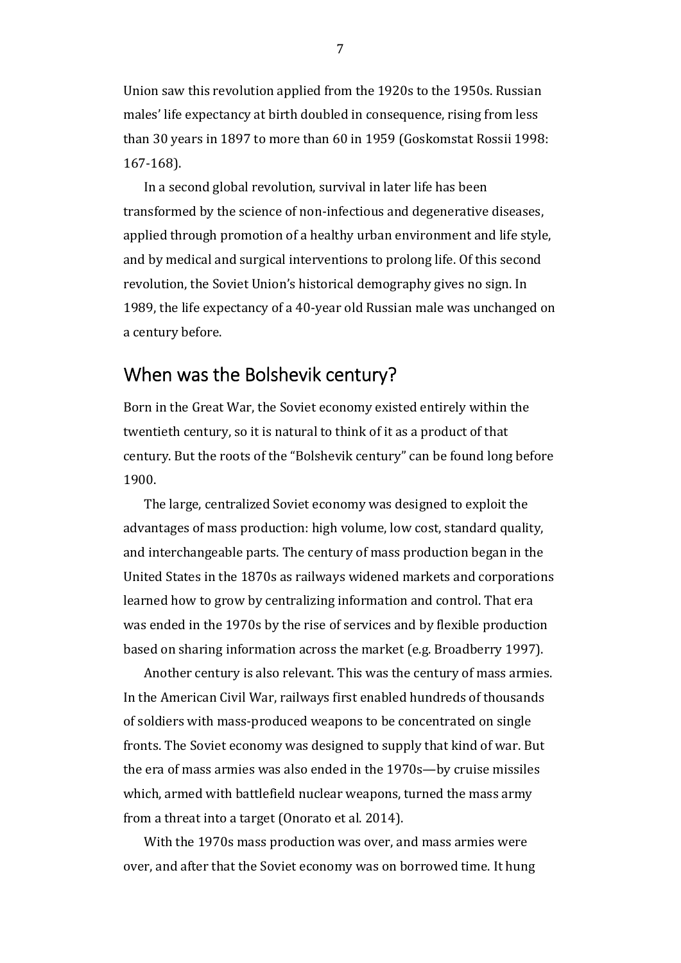Union saw this revolution applied from the 1920s to the 1950s. Russian males' life expectancy at birth doubled in consequence, rising from less than 30 years in 1897 to more than 60 in 1959 (Goskomstat Rossii 1998: 167-168).

In a second global revolution, survival in later life has been transformed by the science of non-infectious and degenerative diseases, applied through promotion of a healthy urban environment and life style, and by medical and surgical interventions to prolong life. Of this second revolution, the Soviet Union's historical demography gives no sign. In 1989, the life expectancy of a 40-year old Russian male was unchanged on a century before.

## When was the Bolshevik century?

Born in the Great War, the Soviet economy existed entirely within the twentieth century, so it is natural to think of it as a product of that century. But the roots of the "Bolshevik century" can be found long before 1900.

The large, centralized Soviet economy was designed to exploit the advantages of mass production: high volume, low cost, standard quality, and interchangeable parts. The century of mass production began in the United States in the 1870s as railways widened markets and corporations learned how to grow by centralizing information and control. That era was ended in the 1970s by the rise of services and by flexible production based on sharing information across the market (e.g. Broadberry 1997).

Another century is also relevant. This was the century of mass armies. In the American Civil War, railways first enabled hundreds of thousands of soldiers with mass-produced weapons to be concentrated on single fronts. The Soviet economy was designed to supply that kind of war. But the era of mass armies was also ended in the 1970s—by cruise missiles which, armed with battlefield nuclear weapons, turned the mass army from a threat into a target (Onorato et al. 2014).

With the 1970s mass production was over, and mass armies were over, and after that the Soviet economy was on borrowed time. It hung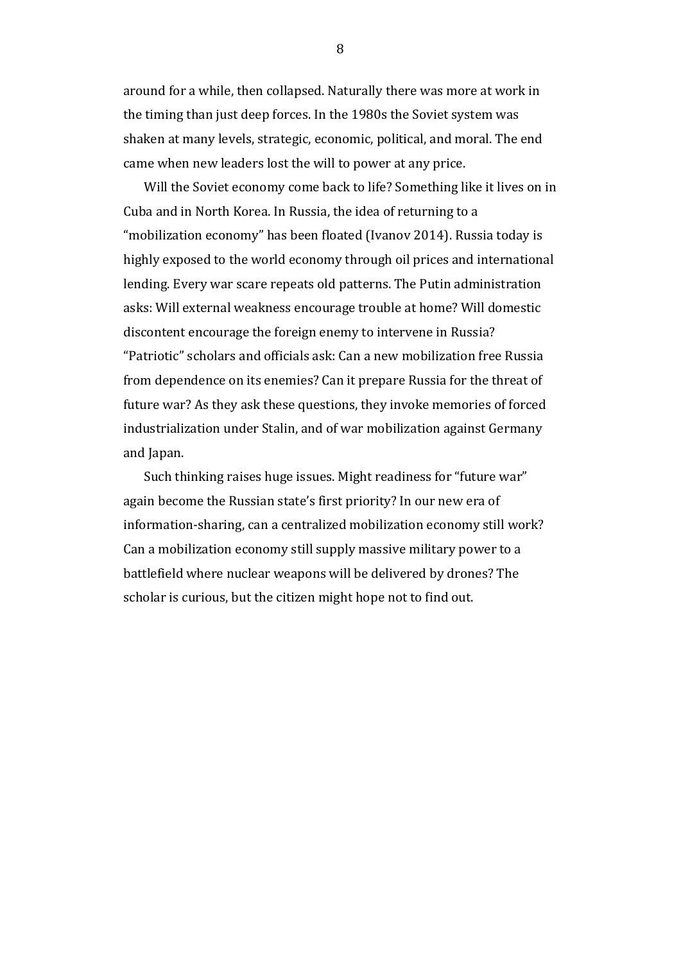around for a while, then collapsed. Naturally there was more at work in the timing than just deep forces. In the 1980s the Soviet system was shaken at many levels, strategic, economic, political, and moral. The end came when new leaders lost the will to power at any price.

Will the Soviet economy come back to life? Something like it lives on in Cuba and in North Korea. In Russia, the idea of returning to a "mobilization economy" has been floated (Ivanov 2014). Russia today is highly exposed to the world economy through oil prices and international lending. Every war scare repeats old patterns. The Putin administration asks: Will external weakness encourage trouble at home? Will domestic discontent encourage the foreign enemy to intervene in Russia? "Patriotic" scholars and officials ask: Can a new mobilization free Russia from dependence on its enemies? Can it prepare Russia for the threat of future war? As they ask these questions, they invoke memories of forced industrialization under Stalin, and of war mobilization against Germany and Japan.

Such thinking raises huge issues. Might readiness for "future war" again become the Russian state's first priority? In our new era of information-sharing, can a centralized mobilization economy still work? Can a mobilization economy still supply massive military power to a battlefield where nuclear weapons will be delivered by drones? The scholar is curious, but the citizen might hope not to find out.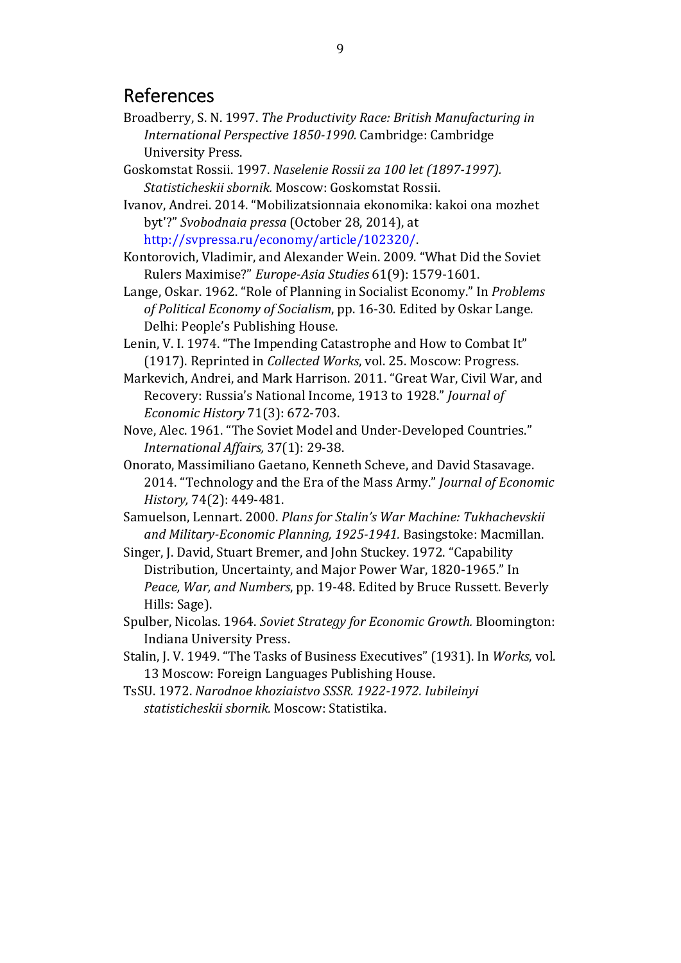### References

- Broadberry, S. N. 1997. *The Productivity Race: British Manufacturing in International Perspective 1850-1990.* Cambridge: Cambridge University Press.
- Goskomstat Rossii. 1997. *Naselenie Rossii za 100 let (1897-1997). Statisticheskii sbornik.* Moscow: Goskomstat Rossii.

Ivanov, Andrei. 2014. "Mobilizatsionnaia ekonomika: kakoi ona mozhet byt'?" *Svobodnaia pressa* (October 28, 2014), at http://svpressa.ru/economy/article/102320/.

- Kontorovich, Vladimir, and Alexander Wein. 2009. "What Did the Soviet Rulers Maximise?" *Europe-Asia Studies* 61(9): 1579-1601.
- Lange, Oskar. 1962. "Role of Planning in Socialist Economy." In *Problems of Political Economy of Socialism*, pp. 16-30. Edited by Oskar Lange. Delhi: People's Publishing House.
- Lenin, V. I. 1974. "The Impending Catastrophe and How to Combat It" (1917). Reprinted in *Collected Works*, vol. 25. Moscow: Progress.
- Markevich, Andrei, and Mark Harrison. 2011. "Great War, Civil War, and Recovery: Russia's National Income, 1913 to 1928." *Journal of Economic History* 71(3): 672-703.
- Nove, Alec. 1961. "The Soviet Model and Under-Developed Countries." *International Affairs,* 37(1): 29-38.
- Onorato, Massimiliano Gaetano, Kenneth Scheve, and David Stasavage. 2014. "Technology and the Era of the Mass Army." *Journal of Economic History,* 74(2): 449-481.
- Samuelson, Lennart. 2000. *Plans for Stalin's War Machine: Tukhachevskii and Military-Economic Planning, 1925-1941.* Basingstoke: Macmillan.
- Singer, J. David, Stuart Bremer, and John Stuckey. 1972. "Capability Distribution, Uncertainty, and Major Power War, 1820-1965." In *Peace, War, and Numbers*, pp. 19-48. Edited by Bruce Russett. Beverly Hills: Sage).
- Spulber, Nicolas. 1964. *Soviet Strategy for Economic Growth.* Bloomington: Indiana University Press.
- Stalin, J. V. 1949. "The Tasks of Business Executives" (1931). In *Works*, vol. 13 Moscow: Foreign Languages Publishing House.
- TsSU. 1972. *Narodnoe khoziaistvo SSSR. 1922-1972. Iubileinyi statisticheskii sbornik.* Moscow: Statistika.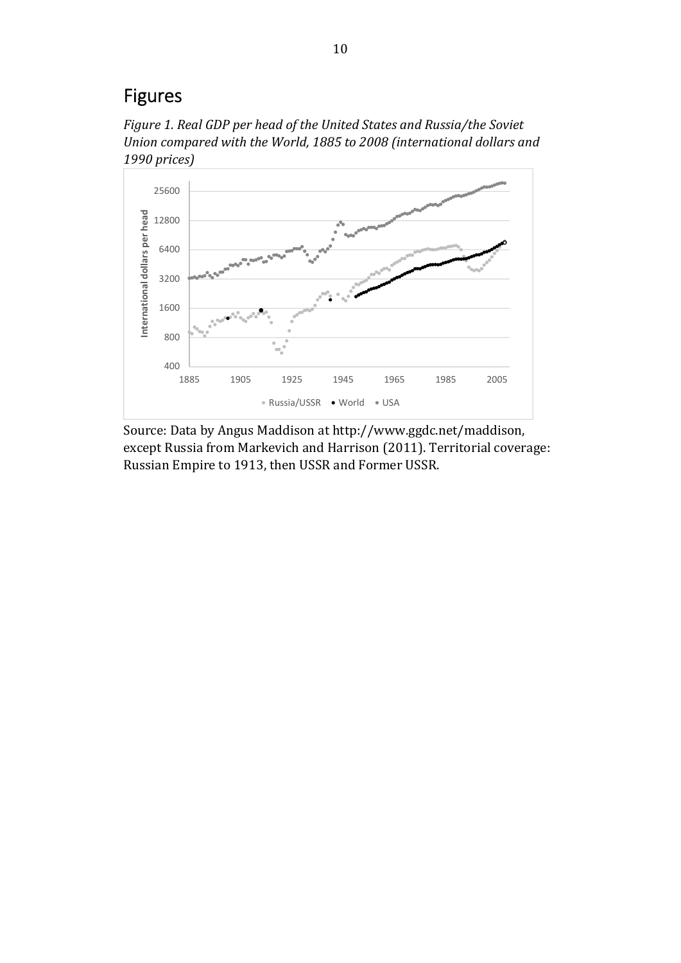## Figures

*Figure 1. Real GDP per head of the United States and Russia/the Soviet Union compared with the World, 1885 to 2008 (international dollars and 1990 prices)* 



Source: Data by Angus Maddison at http://www.ggdc.net/maddison, except Russia from Markevich and Harrison (2011). Territorial coverage: Russian Empire to 1913, then USSR and Former USSR.